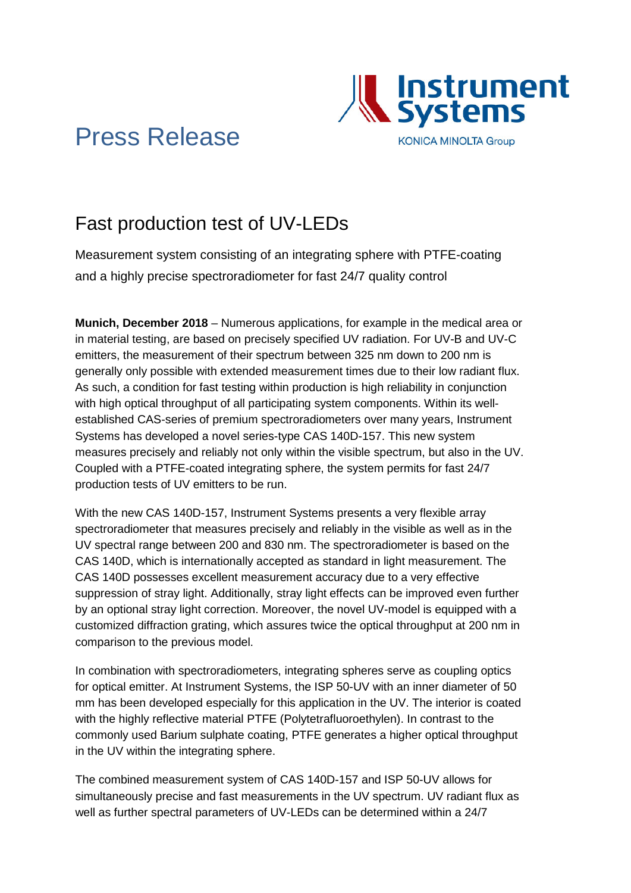

# Press Release

## Fast production test of UV-LEDs

Measurement system consisting of an integrating sphere with PTFE-coating and a highly precise spectroradiometer for fast 24/7 quality control

**Munich, December 2018** – Numerous applications, for example in the medical area or in material testing, are based on precisely specified UV radiation. For UV-B and UV-C emitters, the measurement of their spectrum between 325 nm down to 200 nm is generally only possible with extended measurement times due to their low radiant flux. As such, a condition for fast testing within production is high reliability in conjunction with high optical throughput of all participating system components. Within its wellestablished CAS-series of premium spectroradiometers over many years, Instrument Systems has developed a novel series-type CAS 140D-157. This new system measures precisely and reliably not only within the visible spectrum, but also in the UV. Coupled with a PTFE-coated integrating sphere, the system permits for fast 24/7 production tests of UV emitters to be run.

With the new CAS 140D-157, Instrument Systems presents a very flexible array spectroradiometer that measures precisely and reliably in the visible as well as in the UV spectral range between 200 and 830 nm. The spectroradiometer is based on the CAS 140D, which is internationally accepted as standard in light measurement. The CAS 140D possesses excellent measurement accuracy due to a very effective suppression of stray light. Additionally, stray light effects can be improved even further by an optional stray light correction. Moreover, the novel UV-model is equipped with a customized diffraction grating, which assures twice the optical throughput at 200 nm in comparison to the previous model.

In combination with spectroradiometers, integrating spheres serve as coupling optics for optical emitter. At Instrument Systems, the ISP 50-UV with an inner diameter of 50 mm has been developed especially for this application in the UV. The interior is coated with the highly reflective material PTFE (Polytetrafluoroethylen). In contrast to the commonly used Barium sulphate coating, PTFE generates a higher optical throughput in the UV within the integrating sphere.

The combined measurement system of CAS 140D-157 and ISP 50-UV allows for simultaneously precise and fast measurements in the UV spectrum. UV radiant flux as well as further spectral parameters of UV-LEDs can be determined within a 24/7